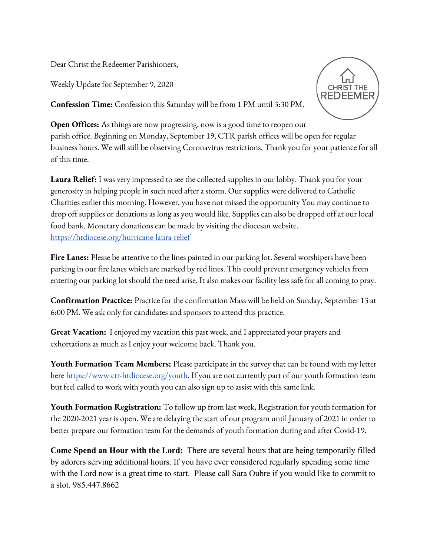Dear Christ the Redeemer Parishioners,

Weekly Update for September 9, 2020



**Confession Time:** Confession this Saturday will be from 1 PM until 3:30 PM.

**Open Offices:** As things are now progressing, now is a good time to reopen our parish office. Beginning on Monday, September 19, CTR parish offices will be open for regular business hours. We will still be observing Coronavirus restrictions. Thank you for your patience for all of this time.

**Laura Relief:** I was very impressed to see the collected supplies in our lobby. Thank you for your generosity in helping people in such need after a storm. Our supplies were delivered to Catholic Charities earlier this morning. However, you have not missed the opportunity You may continue to drop off supplies or donations as long as you would like. Supplies can also be dropped off at our local food bank. Monetary donations can be made by visiting the diocesan website. <https://htdiocese.org/hurricane-laura-relief>

**Fire Lanes:** Please be attentive to the lines painted in our parking lot. Several worshipers have been parking in our fire lanes which are marked by red lines. This could prevent emergency vehicles from entering our parking lot should the need arise. It also makes our facility less safe for all coming to pray.

**Confirmation Practice:** Practice for the confirmation Mass will be held on Sunday, September 13 at 6:00 PM. We ask only for candidates and sponsors to attend this practice.

**Great Vacation:** I enjoyed my vacation this past week, and I appreciated your prayers and exhortations as much as I enjoy your welcome back. Thank you.

**Youth Formation Team Members:** Please participate in the survey that can be found with my letter here <https://www.ctr-htdiocese.org/youth>. If you are not currently part of our youth formation team but feel called to work with youth you can also sign up to assist with this same link.

**Youth Formation Registration:** To follow up from last week, Registration for youth formation for the 2020-2021 year is open. We are delaying the start of our program until January of 2021 in order to better prepare our formation team for the demands of youth formation during and after Covid-19.

**Come Spend an Hour with the Lord:** There are several hours that are being temporarily filled by adorers serving additional hours. If you have ever considered regularly spending some time with the Lord now is a great time to start. Please call Sara Oubre if you would like to commit to a slot. 985.447.8662